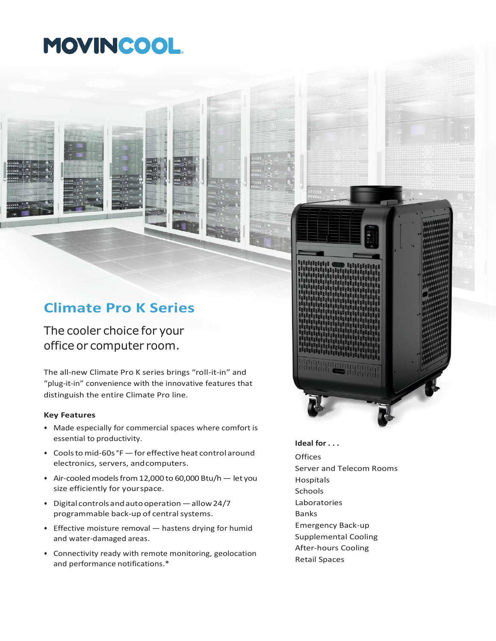# MOVINCOOL.

### **Climate Pro K Series**

The cooler choice for your office or computer room.

The all-new Climate Pro K series brings "roll-it-in" and "plug-it-in" convenience with the innovative features that distinguish the entire Climate Pro line.

#### **Key Features**

- Made especially for commercial spaces where comfort is essential to productivity.
- Coolstomid-60s°F—for effective heat control around electronics, servers, andcomputers.
- Air-cooled models from 12,000 to 60,000 Btu/h  $-$  let you size efficiently for yourspace.
- Digitalcontrolsandautooperation—allow24/7 programmable back-up of central systems.
- Effective moisture removal hastens drying for humid and water-damaged areas.
- Connectivity ready with remote monitoring, geolocation and performance notifications.\*



- Supplemental Cooling After-hours Cooling
- Retail Spaces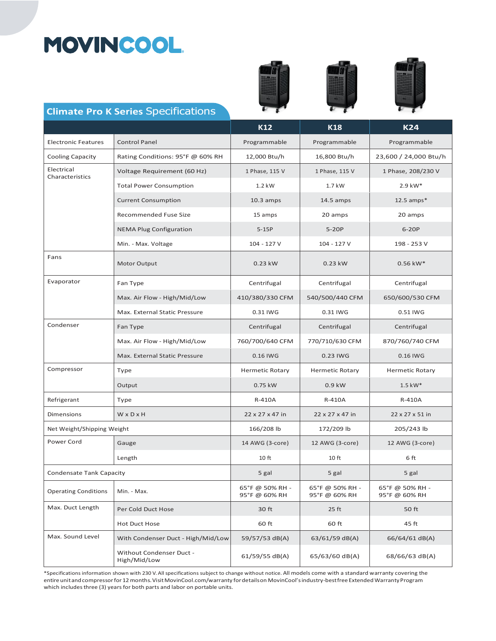# MOVINCOOL.







#### **Climate Pro K Series** Specifications

|                                 |                                          | <b>K12</b>                       | <b>K18</b>                       | <b>K24</b>                       |
|---------------------------------|------------------------------------------|----------------------------------|----------------------------------|----------------------------------|
| <b>Electronic Features</b>      | <b>Control Panel</b>                     | Programmable                     | Programmable                     | Programmable                     |
| <b>Cooling Capacity</b>         | Rating Conditions: 95°F @ 60% RH         | 12,000 Btu/h                     | 16,800 Btu/h                     | 23,600 / 24,000 Btu/h            |
| Electrical<br>Characteristics   | Voltage Requirement (60 Hz)              | 1 Phase, 115 V                   | 1 Phase, 115 V                   | 1 Phase, 208/230 V               |
|                                 | <b>Total Power Consumption</b>           | $1.2$ kW                         | $1.7$ kW                         | 2.9 kW*                          |
|                                 | <b>Current Consumption</b>               | $10.3$ amps                      | $14.5 \text{ amps}$              | $12.5$ amps*                     |
|                                 | <b>Recommended Fuse Size</b>             | 15 amps                          | 20 amps                          | 20 amps                          |
|                                 | <b>NEMA Plug Configuration</b>           | $5-15P$                          | $5-20P$                          | 6-20P                            |
|                                 | Min. - Max. Voltage                      | 104 - 127 V                      | 104 - 127 V                      | 198 - 253 V                      |
| Fans                            | Motor Output                             | 0.23 kW                          | 0.23 kW                          | $0.56$ kW*                       |
| Evaporator                      | Fan Type                                 | Centrifugal                      | Centrifugal                      | Centrifugal                      |
|                                 | Max. Air Flow - High/Mid/Low             | 410/380/330 CFM                  | 540/500/440 CFM                  | 650/600/530 CFM                  |
|                                 | Max. External Static Pressure            | 0.31 IWG                         | 0.31 IWG                         | 0.51 IWG                         |
| Condenser                       | Fan Type                                 | Centrifugal                      | Centrifugal                      | Centrifugal                      |
|                                 | Max. Air Flow - High/Mid/Low             | 760/700/640 CFM                  | 770/710/630 CFM                  | 870/760/740 CFM                  |
|                                 | Max. External Static Pressure            | 0.16 IWG                         | 0.23 IWG                         | 0.16 IWG                         |
| Compressor                      | Type                                     | <b>Hermetic Rotary</b>           | <b>Hermetic Rotary</b>           | <b>Hermetic Rotary</b>           |
|                                 | Output                                   | 0.75 kW                          | $0.9$ kW                         | $1.5$ kW*                        |
| Refrigerant                     | Type                                     | R-410A                           | R-410A                           | R-410A                           |
| Dimensions                      | WxDxH                                    | 22 x 27 x 47 in                  | 22 x 27 x 47 in                  | 22 x 27 x 51 in                  |
| Net Weight/Shipping Weight      |                                          | 166/208 lb                       | 172/209 lb                       | 205/243 lb                       |
| Power Cord                      | Gauge                                    | 14 AWG (3-core)                  | 12 AWG (3-core)                  | 12 AWG (3-core)                  |
|                                 | Length                                   | 10 <sub>ft</sub>                 | 10 <sub>ft</sub>                 | 6 ft                             |
| <b>Condensate Tank Capacity</b> |                                          | 5 gal                            | 5 gal                            | 5 gal                            |
| <b>Operating Conditions</b>     | Min. - Max.                              | 65°F @ 50% RH -<br>95°F @ 60% RH | 65°F @ 50% RH -<br>95°F @ 60% RH | 65°F @ 50% RH -<br>95°F @ 60% RH |
| Max. Duct Length                | Per Cold Duct Hose                       | 30 ft                            | $25$ ft                          | 50 ft                            |
|                                 | <b>Hot Duct Hose</b>                     | 60 ft                            | 60 ft                            | 45 ft                            |
| Max. Sound Level                | With Condenser Duct - High/Mid/Low       | 59/57/53 dB(A)                   | 63/61/59 dB(A)                   | 66/64/61 dB(A)                   |
|                                 | Without Condenser Duct -<br>High/Mid/Low | 61/59/55 dB(A)                   | 65/63/60 dB(A)                   | 68/66/63 dB(A)                   |

\*Specifications information shown with 230 V. All specifications subject to change without notice. All models come with a standard warranty covering the entireunitandcompressorfor12months.VisitMovinCool.com/warranty fordetailson MovinCool'sindustry-bestfree ExtendedWarrantyProgram which includes three (3) years for both parts and labor on portable units.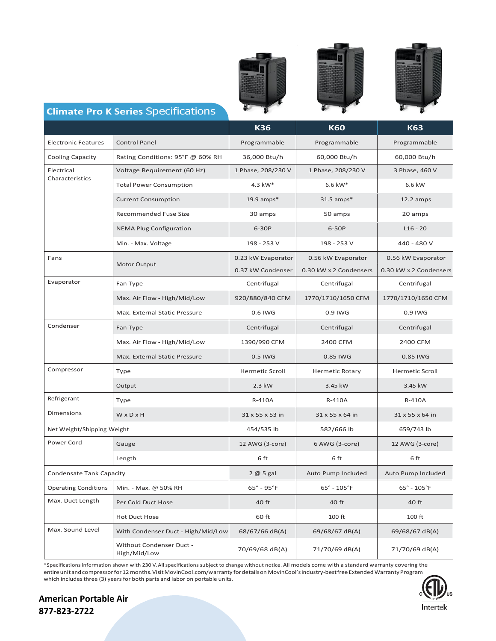





### **Climate Pro K Series** Specifications

|                                 |                                          | <b>K36</b>                     | <b>K60</b>                     | <b>K63</b>                     |
|---------------------------------|------------------------------------------|--------------------------------|--------------------------------|--------------------------------|
| <b>Electronic Features</b>      | <b>Control Panel</b>                     | Programmable                   | Programmable                   | Programmable                   |
| <b>Cooling Capacity</b>         | Rating Conditions: 95°F @ 60% RH         | 36,000 Btu/h                   | 60,000 Btu/h                   | 60,000 Btu/h                   |
| Electrical<br>Characteristics   | Voltage Requirement (60 Hz)              | 1 Phase, 208/230 V             | 1 Phase, 208/230 V             | 3 Phase, 460 V                 |
|                                 | <b>Total Power Consumption</b>           | 4.3 kW*                        | 6.6 kW*                        | 6.6 kW                         |
|                                 | <b>Current Consumption</b>               | 19.9 amps $*$                  | $31.5$ amps*                   | $12.2$ amps                    |
|                                 | <b>Recommended Fuse Size</b>             | 30 amps                        | 50 amps                        | 20 amps                        |
|                                 | <b>NEMA Plug Configuration</b>           | 6-30P                          | 6-50P                          | $L16 - 20$                     |
|                                 | Min. - Max. Voltage                      | 198 - 253 V                    | 198 - 253 V                    | 440 - 480 V                    |
| Fans                            | Motor Output                             | 0.23 kW Evaporator             | 0.56 kW Evaporator             | 0.56 kW Evaporator             |
|                                 |                                          | 0.37 kW Condenser              | 0.30 kW x 2 Condensers         | 0.30 kW x 2 Condensers         |
| Evaporator                      | Fan Type                                 | Centrifugal                    | Centrifugal                    | Centrifugal                    |
|                                 | Max. Air Flow - High/Mid/Low             | 920/880/840 CFM                | 1770/1710/1650 CFM             | 1770/1710/1650 CFM             |
|                                 | Max. External Static Pressure            | 0.6 IWG                        | 0.9 IWG                        | 0.9 IWG                        |
| Condenser                       | Fan Type                                 | Centrifugal                    | Centrifugal                    | Centrifugal                    |
|                                 | Max. Air Flow - High/Mid/Low             | 1390/990 CFM                   | 2400 CFM                       | 2400 CFM                       |
|                                 | Max. External Static Pressure            | 0.5 IWG                        | 0.85 IWG                       | 0.85 IWG                       |
| Compressor                      | Type                                     | <b>Hermetic Scroll</b>         | <b>Hermetic Rotary</b>         | <b>Hermetic Scroll</b>         |
|                                 | Output                                   | 2.3 kW                         | 3.45 kW                        | 3.45 kW                        |
| Refrigerant                     | Type                                     | R-410A                         | R-410A                         | R-410A                         |
| <b>Dimensions</b>               | WxDxH                                    | 31 x 55 x 53 in                | 31 x 55 x 64 in                | 31 x 55 x 64 in                |
| Net Weight/Shipping Weight      |                                          | 454/535 lb                     | 582/666 lb                     | 659/743 lb                     |
| Power Cord                      | Gauge                                    | 12 AWG (3-core)                | 6 AWG (3-core)                 | 12 AWG (3-core)                |
|                                 | Length                                   | 6 ft                           | 6 ft                           | 6 ft                           |
| <b>Condensate Tank Capacity</b> |                                          | 2@5 gal                        | Auto Pump Included             | Auto Pump Included             |
| <b>Operating Conditions</b>     | Min. - Max. @ 50% RH                     | $65^{\circ}$ - 95 $^{\circ}$ F | $65^{\circ}$ - $105^{\circ}$ F | $65^{\circ}$ - $105^{\circ}$ F |
| Max. Duct Length                | Per Cold Duct Hose                       | 40 ft                          | 40 ft                          | 40 ft                          |
|                                 | Hot Duct Hose                            | 60 ft                          | 100 ft                         | 100 ft                         |
| Max. Sound Level                | With Condenser Duct - High/Mid/Low       | 68/67/66 dB(A)                 | 69/68/67 dB(A)                 | 69/68/67 dB(A)                 |
|                                 | Without Condenser Duct -<br>High/Mid/Low | 70/69/68 dB(A)                 | 71/70/69 dB(A)                 | 71/70/69 dB(A)                 |

\*Specifications information shown with 230 V. All specifications subject to change without notice. All models come with a standard warranty covering the entire unit and compressor for 12 months. Visit MovinCool.com/warranty for details on MovinCool's industry-bestfree Extended Warranty Program which includes three (3) years for both parts and labor on portable units.



**American Portable Air 877-823-2722**